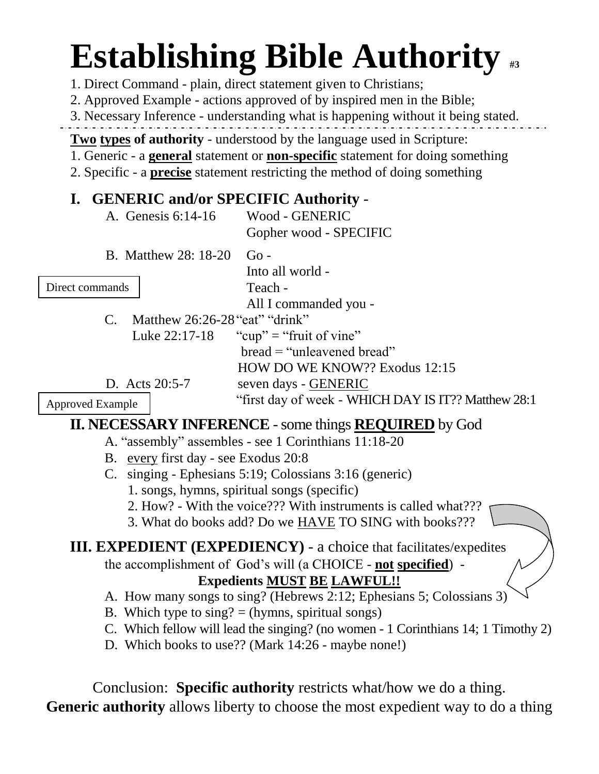# **Establishing Bible Authority #3**

1. Direct Command - plain, direct statement given to Christians;

2. Approved Example - actions approved of by inspired men in the Bible;

3. Necessary Inference - understanding what is happening without it being stated.

**Two types of authority** - understood by the language used in Scripture:

1. Generic - a **general** statement or **non-specific** statement for doing something

2. Specific - a **precise** statement restricting the method of doing something

# **I. GENERIC and/or SPECIFIC Authority** -

A. Genesis 6:14-16 Wood - GENERIC Gopher wood - SPECIFIC

B. Matthew 28: 18-20 Go -

Direct commands

Into all world - Teach -

All I commanded you -

bread = "unleavened bread"

C. Matthew 26:26-28"eat" "drink" Luke  $22:17-18$  "cup" = "fruit of vine"

HOW DO WE KNOW?? Exodus 12:15 D. Acts 20:5-7 seven days - GENERIC "first day of week - WHICH DAY IS IT?? Matthew 28:1

Approved Example

# **II. NECESSARY INFERENCE** - some things **REQUIRED** by God

- A. "assembly" assembles see 1 Corinthians 11:18-20
- B. every first day see Exodus 20:8
- C. singing Ephesians 5:19; Colossians 3:16 (generic)
	- 1. songs, hymns, spiritual songs (specific)

2. How? - With the voice??? With instruments is called what???

3. What do books add? Do we HAVE TO SING with books???

### **III. EXPEDIENT (EXPEDIENCY)** - a choice that facilitates/expedites

the accomplishment of God's will (a CHOICE - **not specified**) -

# **Expedients MUST BE LAWFUL!!**

- A. How many songs to sing? (Hebrews 2:12; Ephesians 5; Colossians 3)
- B. Which type to  $\text{sing?} = (\text{hymns}, \text{spiritud songs})$
- C. Which fellow will lead the singing? (no women 1 Corinthians 14; 1 Timothy 2)
- D. Which books to use?? (Mark 14:26 maybe none!)

Conclusion: **Specific authority** restricts what/how we do a thing. **Generic authority** allows liberty to choose the most expedient way to do a thing